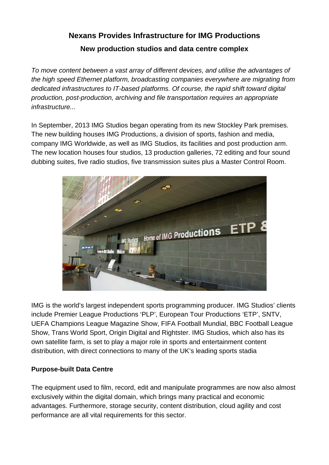## **Nexans Provides Infrastructure for IMG Productions New production studios and data centre complex**

*To move content between a vast array of different devices, and utilise the advantages of the high speed Ethernet platform, broadcasting companies everywhere are migrating from dedicated infrastructures to IT-based platforms. Of course, the rapid shift toward digital production, post-production, archiving and file transportation requires an appropriate infrastructure...* 

In September, 2013 IMG Studios began operating from its new Stockley Park premises. The new building houses IMG Productions, a division of sports, fashion and media, company IMG Worldwide, as well as IMG Studios, its facilities and post production arm. The new location houses four studios, 13 production galleries, 72 editing and four sound dubbing suites, five radio studios, five transmission suites plus a Master Control Room.



IMG is the world's largest independent sports programming producer. IMG Studios' clients include Premier League Productions 'PLP', European Tour Productions 'ETP', SNTV, UEFA Champions League Magazine Show, FIFA Football Mundial, BBC Football League Show, Trans World Sport, Origin Digital and Rightster. IMG Studios, which also has its own satellite farm, is set to play a major role in sports and entertainment content distribution, with direct connections to many of the UK's leading sports stadia

## **Purpose-built Data Centre**

The equipment used to film, record, edit and manipulate programmes are now also almost exclusively within the digital domain, which brings many practical and economic advantages. Furthermore, storage security, content distribution, cloud agility and cost performance are all vital requirements for this sector.